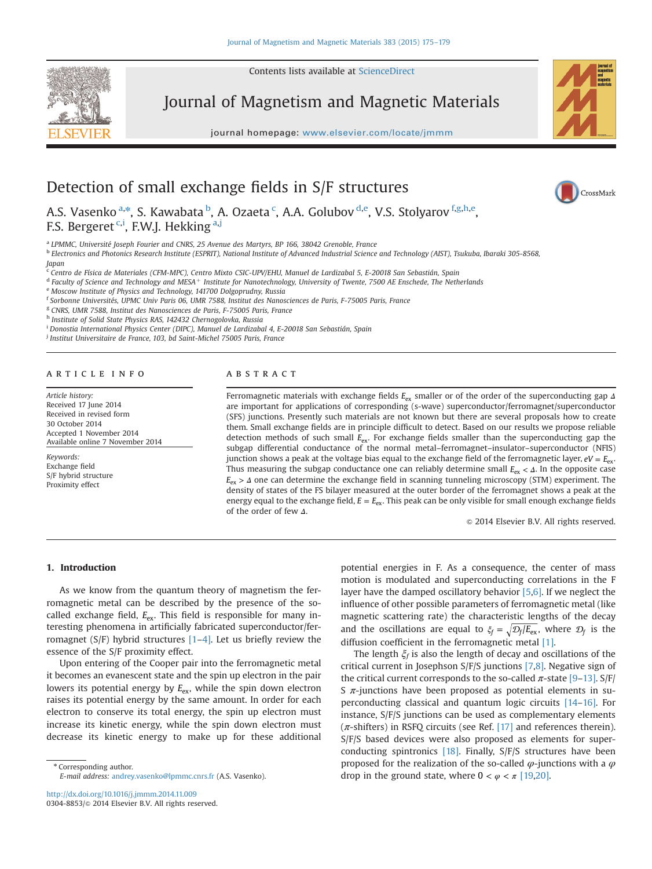Contents lists available at [ScienceDirect](www.sciencedirect.com/science/journal/03048853)



Journal of Magnetism and Magnetic Materials

journal homepage: <www.elsevier.com/locate/jmmm>/locate/jmmm/locate/jmmm/locate/jmmm/locate/jmmm/locate/jmmm/locate/jmm



CrossMark

# Detection of small exchange fields in S/F structures

A.S. Vasenko <sup>a,\*</sup>, S. Kawabata <sup>b</sup>, A. Ozaeta <sup>c</sup>, A.A. Golubov <sup>d,e</sup>, V.S. Stolyarov <sup>f,g,h,e</sup>, F.S. Bergeret <sup>c,i</sup>, F.W.J. Hekking <sup>a,j</sup>

<sup>a</sup> LPMMC, Université Joseph Fourier and CNRS, 25 Avenue des Martyrs, BP 166, 38042 Grenoble, France

<sup>b</sup> Electronics and Photonics Research Institute (ESPRIT), National Institute of Advanced Industrial Science and Technology (AIST), Tsukuba, Ibaraki 305-8568,

Japan Centro de Física de Materiales (CFM-MPC), Centro Mixto CSIC-UPV/EHU, Manuel de Lardizabal 5, E-20018 San Sebastián, Spain

 $d$  Faculty of Science and Technology and MESA<sup>+</sup> Institute for Nanotechnology, University of Twente, 7500 AE Enschede, The Netherlands

<sup>e</sup> Moscow Institute of Physics and Technology, 141700 Dolgoprudny, Russia

<sup>f</sup> Sorbonne Universités, UPMC Univ Paris 06, UMR 7588, Institut des Nanosciences de Paris, F-75005 Paris, France

<sup>g</sup> CNRS, UMR 7588, Institut des Nanosciences de Paris, F-75005 Paris, France

h Institute of Solid State Physics RAS, 142432 Chernogolovka, Russia

i Donostia International Physics Center (DIPC), Manuel de Lardizabal 4, E-20018 San Sebastián, Spain

<sup>j</sup> Institut Universitaire de France, 103, bd Saint-Michel 75005 Paris, France

# article info

Article history: Received 17 June 2014 Received in revised form 30 October 2014 Accepted 1 November 2014 Available online 7 November 2014

Keywords: Exchange field S/F hybrid structure Proximity effect

# ABSTRACT

Ferromagnetic materials with exchange fields *<sup>E</sup>*ex smaller or of the order of the superconducting gap *<sup>Δ</sup>* are important for applications of corresponding (s-wave) superconductor/ferromagnet/superconductor (SFS) junctions. Presently such materials are not known but there are several proposals how to create them. Small exchange fields are in principle difficult to detect. Based on our results we propose reliable detection methods of such small  $E_{ex}$ . For exchange fields smaller than the superconducting gap the subgap differential conductance of the normal metal–ferromagnet–insulator–superconductor (NFIS) junction shows a peak at the voltage bias equal to the exchange field of the ferromagnetic layer,  $eV = E_{ex}$ . Thus measuring the subgap conductance one can reliably determine small *E<sub>ex</sub>* < *Δ*. In the opposite case *<sup>E</sup>*ex <sup>&</sup>gt; *<sup>Δ</sup>* one can determine the exchange field in scanning tunneling microscopy (STM) experiment. The density of states of the FS bilayer measured at the outer border of the ferromagnet shows a peak at the energy equal to the exchange field,  $E = E_{ex}$ . This peak can be only visible for small enough exchange fields of the order of few *Δ*.

 $\odot$  2014 Elsevier B.V. All rights reserved.

### 1. Introduction

As we know from the quantum theory of magnetism the ferromagnetic metal can be described by the presence of the socalled exchange field,  $E_{ex}$ . This field is responsible for many interesting phenomena in artificially fabricated superconductor/ferromagnet (S/F) hybrid structures [\[1](#page-3-0)–[4\].](#page-3-0) Let us briefly review the essence of the S/F proximity effect.

Upon entering of the Cooper pair into the ferromagnetic metal it becomes an evanescent state and the spin up electron in the pair lowers its potential energy by  $E_{ex}$ , while the spin down electron raises its potential energy by the same amount. In order for each electron to conserve its total energy, the spin up electron must increase its kinetic energy, while the spin down electron must decrease its kinetic energy to make up for these additional

\* Corresponding author. E-mail address: [andrey.vasenko@lpmmc.cnrs.fr](mailto:andrey.vasenko@lpmmc.cnrs.fr) (A.S. Vasenko).

<http://dx.doi.org/10.1016/j.jmmm.2014.11.009> 0304-8853/@ 2014 Elsevier B.V. All rights reserved. potential energies in F. As a consequence, the center of mass motion is modulated and superconducting correlations in the F layer have the damped oscillatory behavior [\[5,6\].](#page-3-0) If we neglect the influence of other possible parameters of ferromagnetic metal (like magnetic scattering rate) the characteristic lengths of the decay and the oscillations are equal to  $\xi_f = \sqrt{\mathcal{D}_f / E_{\text{ex}}},$  where  $\mathcal{D}_f$  is the diffusion coefficient in the ferromagnetic metal [\[1\]](#page-3-0).

The length  $\xi_f$  is also the length of decay and oscillations of the critical current in Josephson S/F/S junctions [\[7,8\].](#page-3-0) Negative sign of the critical current corresponds to the so-called  $\pi$ -state [\[9](#page-3-0)-[13\]](#page-4-0). S/F/ S  $\pi$ -junctions have been proposed as potential elements in superconducting classical and quantum logic circuits [\[14](#page-4-0)–[16\]](#page-4-0). For instance, S/F/S junctions can be used as complementary elements  $(\pi$ -shifters) in RSFQ circuits (see Ref. [\[17\]](#page-4-0) and references therein). S/F/S based devices were also proposed as elements for superconducting spintronics [\[18\]](#page-4-0). Finally, S/F/S structures have been proposed for the realization of the so-called  $\varphi$ -junctions with a  $\varphi$ drop in the ground state, where  $0 < \varphi < \pi$  [\[19,20\].](#page-4-0)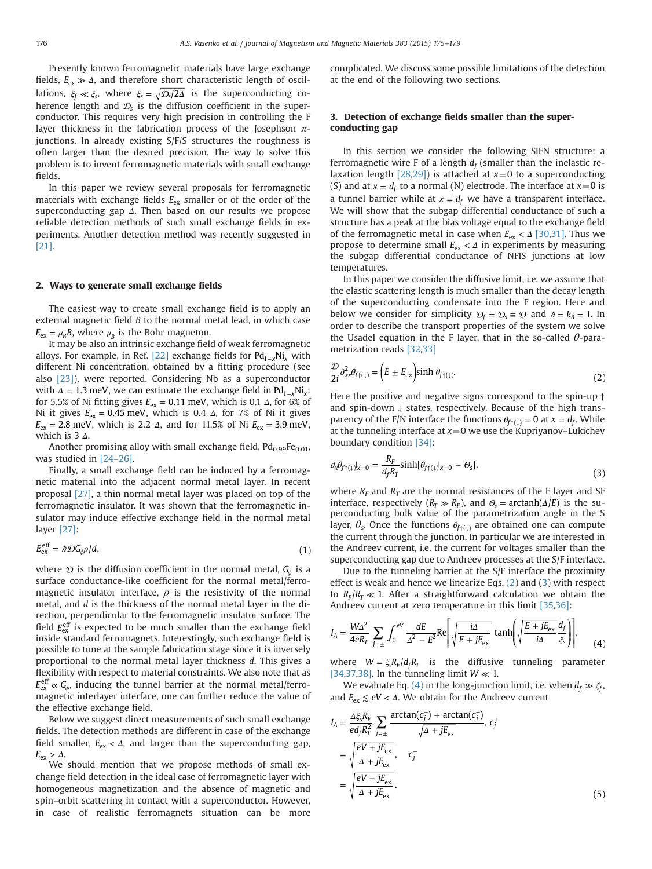<span id="page-1-0"></span>Presently known ferromagnetic materials have large exchange fields,  $E_{\text{ex}} \gg \Delta$ , and therefore short characteristic length of oscillations,  $\xi_f \ll \xi_s$ , where  $\xi_s = \sqrt{\mathcal{D}_s/2\Delta}$  is the superconducting coherence length and  $\mathcal{D}_s$  is the diffusion coefficient in the superconductor. This requires very high precision in controlling the F layer thickness in the fabrication process of the Josephson  $\pi$ junctions. In already existing S/F/S structures the roughness is often larger than the desired precision. The way to solve this problem is to invent ferromagnetic materials with small exchange fields.

In this paper we review several proposals for ferromagnetic materials with exchange fields  $E_{ex}$  smaller or of the order of the superconducting gap *Δ*. Then based on our results we propose reliable detection methods of such small exchange fields in experiments. Another detection method was recently suggested in [\[21\].](#page-4-0)

## 2. Ways to generate small exchange fields

The easiest way to create small exchange field is to apply an external magnetic field B to the normal metal lead, in which case  $E_{\text{ex}} = \mu_B B$ , where  $\mu_B$  is the Bohr magneton.

It may be also an intrinsic exchange field of weak ferromagnetic alloys. For example, in Ref. [\[22\]](#page-4-0) exchange fields for Pd<sub>1-*x*</sub>Ni<sub>x</sub> with different Ni concentration, obtained by a fitting procedure (see also [\[23\]](#page-4-0)), were reported. Considering Nb as a superconductor with  $\Delta = 1.3$  meV, we can estimate the exchange field in Pd<sub>1-*x*</sub>Ni<sub>*x*</sub>: for 5.5% of Ni fitting gives *<sup>E</sup>*ex <sup>=</sup> 0.11 meV, which is 0.1 *<sup>Δ</sup>*, for 6% of Ni it gives  $E_{ex} = 0.45$  meV, which is 0.4 Δ, for 7% of Ni it gives  $E_{\text{ex}}$  = 2.8 meV, which is 2.2 Δ, and for 11.5% of Ni  $E_{\text{ex}}$  = 3.9 meV, which is 3 *Δ*.

Another promising alloy with small exchange field,  $Pd_{0.99}Fe_{0.01}$ , was studied in [\[24](#page-4-0)–[26\].](#page-4-0)

Finally, a small exchange field can be induced by a ferromagnetic material into the adjacent normal metal layer. In recent proposal [\[27\]](#page-4-0), a thin normal metal layer was placed on top of the ferromagnetic insulator. It was shown that the ferromagnetic insulator may induce effective exchange field in the normal metal layer [\[27\]](#page-4-0):

$$
E_{\text{ex}}^{\text{eff}} = \hbar \mathcal{D} G_{\phi} \rho / d, \tag{1}
$$

where  $\mathcal D$  is the diffusion coefficient in the normal metal,  $G_\phi$  is a surface conductance-like coefficient for the normal metal/ferromagnetic insulator interface,  $\rho$  is the resistivity of the normal metal, and d is the thickness of the normal metal layer in the direction, perpendicular to the ferromagnetic insulator surface. The field E<sup>eff</sup> is expected to be much smaller than the exchange field inside standard ferromagnets. Interestingly, such exchange field is possible to tune at the sample fabrication stage since it is inversely proportional to the normal metal layer thickness d. This gives a flexibility with respect to material constraints. We also note that as  $E_{\rm ex}^{\rm eff} \propto \mathit{G}_{\phi}$ , inducing the tunnel barrier at the normal metal/ferromagnetic interlayer interface, one can further reduce the value of the effective exchange field.

Below we suggest direct measurements of such small exchange fields. The detection methods are different in case of the exchange field smaller,  $E_{\text{ex}} < \Delta$ , and larger than the superconducting gap,  $E_{\rm ex} > \Delta$ .

We should mention that we propose methods of small exchange field detection in the ideal case of ferromagnetic layer with homogeneous magnetization and the absence of magnetic and spin–orbit scattering in contact with a superconductor. However, in case of realistic ferromagnets situation can be more

complicated. We discuss some possible limitations of the detection at the end of the following two sections.

# 3. Detection of exchange fields smaller than the superconducting gap

In this section we consider the following SIFN structure: a ferromagnetic wire F of a length  $d_f$  (smaller than the inelastic relaxation length  $[28,29]$ ) is attached at  $x=0$  to a superconducting (S) and at  $x = d_f$  to a normal (N) electrode. The interface at  $x=0$  is a tunnel barrier while at  $x = d_f$  we have a transparent interface. We will show that the subgap differential conductance of such a structure has a peak at the bias voltage equal to the exchange field of the ferromagnetic metal in case when *E*ex < *Δ* [\[30,31\].](#page-4-0) Thus we propose to determine small  $E_{ex}$  <  $\Delta$  in experiments by measuring the subgap differential conductance of NFIS junctions at low temperatures.

In this paper we consider the diffusive limit, i.e. we assume that the elastic scattering length is much smaller than the decay length of the superconducting condensate into the F region. Here and below we consider for simplicity  $\mathcal{D}_f = \mathcal{D}_s \equiv \mathcal{D}$  and  $\hbar = k_B = 1$ . In order to describe the transport properties of the system we solve the Usadel equation in the F layer, that in the so-called  $\theta$ -parametrization reads [\[32,33\]](#page-4-0)

$$
\frac{\mathcal{D}}{2i} \partial_{xx}^2 \theta_{f(1)} = \left( E \pm E_{\text{ex}} \right) \sinh \theta_{f(1)}.
$$
 (2)

Here the positive and negative signs correspond to the spin-up ↑ and spin-down ↓ states, respectively. Because of the high transparency of the F/N interface the functions  $\theta_{f(1)} = 0$  at  $x = d_f$ . While at the tunneling interface at  $x=0$  we use the Kupriyanov–Lukichev boundary condition [\[34\]:](#page-4-0)

$$
\partial_x \theta_{f(1)}|_{x=0} = \frac{R_F}{d_f R_T} \sinh[\theta_{f(1)}|_{x=0} - \theta_s],\tag{3}
$$

where  $R_F$  and  $R_T$  are the normal resistances of the F layer and SF interface, respectively  $(R_T \gg R_F)$ , and  $\Theta_s = \arctanh(\Delta/E)$  is the superconducting bulk value of the parametrization angle in the S layer,  $\theta_s$ . Once the functions  $\theta_{f\uparrow(\downarrow)}$  are obtained one can compute the current through the junction. In particular we are interested in the Andreev current, i.e. the current for voltages smaller than the superconducting gap due to Andreev processes at the S/F interface.

Due to the tunneling barrier at the S/F interface the proximity effect is weak and hence we linearize Eqs. (2) and (3) with respect to  $R_F/R_T \ll 1$ . After a straightforward calculation we obtain the Andreev current at zero temperature in this limit [\[35,36\]](#page-4-0):

$$
I_A = \frac{W\Delta^2}{4eR_T} \sum_{j=\pm} \int_0^{eV} \frac{dE}{\Delta^2 - E^2} \text{Re} \left[ \sqrt{\frac{i\Delta}{E + jE_{\text{ex}}}} \tanh \left( \sqrt{\frac{E + jE_{\text{ex}}}{i\Delta}} \frac{d_f}{\xi_s} \right) \right],\tag{4}
$$

where  $W = \xi_s R_F / d_f R_T$  is the diffusive tunneling parameter [\[34,37,38\].](#page-4-0) In the tunneling limit  $W \ll 1$ .

We evaluate Eq. (4) in the long-junction limit, i.e. when  $d_f \gg \xi_f$ , and  $E_{\text{ex}} \leq eV < \Delta$ . We obtain for the Andreev current

$$
I_{A} = \frac{\Delta \xi_{s} R_{F}}{ed_{f} R_{T}^{2}} \sum_{j=\pm} \frac{\arctan(c_{j}^{+}) + \arctan(c_{j}^{-})}{\sqrt{\Delta + jE_{\text{ex}}}}, c_{j}^{+}
$$
  

$$
= \sqrt{\frac{eV + jE_{\text{ex}}}{\Delta + jE_{\text{ex}}}}, c_{j}^{-}
$$
  

$$
= \sqrt{\frac{eV - jE_{\text{ex}}}{\Delta + jE_{\text{ex}}}}.
$$
 (5)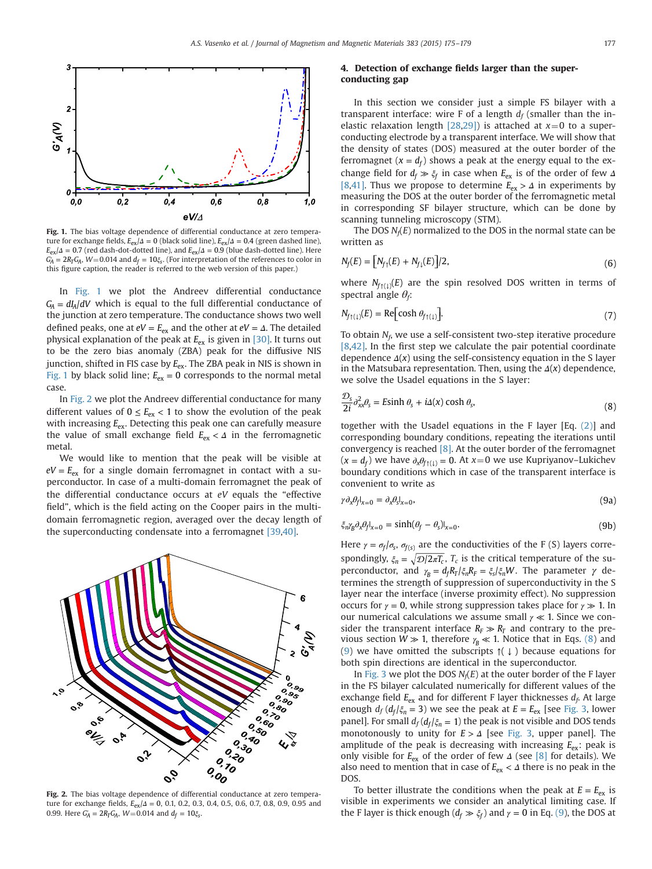

Fig. 1. The bias voltage dependence of differential conductance at zero temperature for exchange fields,  $E_{ex}/\Delta = 0$  (black solid line),  $E_{ex}/\Delta = 0.4$  (green dashed line),  $E_{\text{ex}}/A = 0.7$  (red dash-dot-dotted line), and  $E_{\text{ex}}/A = 0.9$  (blue dash-dotted line). Here  $G'_A = 2R_T G_A$ , *W*=0.014 and  $d_f = 10 \xi_s$ . (For interpretation of the references to color in this figure caption, the reader is referred to the web version of this paper.)

In Fig. 1 we plot the Andreev differential conductance  $G_{\rm A} = dI_{\rm A}/dV$  which is equal to the full differential conductance of the junction at zero temperature. The conductance shows two well defined peaks, one at  $eV = E_{ex}$  and the other at  $eV = \Delta$ . The detailed physical explanation of the peak at  $E_{ex}$  is given in [\[30\].](#page-4-0) It turns out to be the zero bias anomaly (ZBA) peak for the diffusive NIS junction, shifted in FIS case by  $E_{\text{ex}}$ . The ZBA peak in NIS is shown in Fig. 1 by black solid line;  $E_{ex} = 0$  corresponds to the normal metal case.

In Fig. 2 we plot the Andreev differential conductance for many different values of  $0 \le E_{\text{ex}} < 1$  to show the evolution of the peak with increasing  $E_{ex}$ . Detecting this peak one can carefully measure the value of small exchange field  $E_{\text{ex}} < \Delta$  in the ferromagnetic metal.

We would like to mention that the peak will be visible at  $eV = E_{\text{ex}}$  for a single domain ferromagnet in contact with a superconductor. In case of a multi-domain ferromagnet the peak of the differential conductance occurs at eV equals the "effective field", which is the field acting on the Cooper pairs in the multidomain ferromagnetic region, averaged over the decay length of the superconducting condensate into a ferromagnet [\[39,40\].](#page-4-0)



Fig. 2. The bias voltage dependence of differential conductance at zero temperature for exchange fields,  $E_{ex}/\Delta = 0$ , 0.1, 0.2, 0.3, 0.4, 0.5, 0.6, 0.7, 0.8, 0.9, 0.95 and 0.99. Here  $G_{\!A}' = 2R_T G_{\!A}$ ,  $W \! = \! 0.014$  and  $d_f = 10 \xi_{\rm s}$ .

# 4. Detection of exchange fields larger than the superconducting gap

In this section we consider just a simple FS bilayer with a transparent interface: wire F of a length  $d_f$  (smaller than the in-elastic relaxation length [\[28,29\]](#page-4-0)) is attached at  $x=0$  to a superconducting electrode by a transparent interface. We will show that the density of states (DOS) measured at the outer border of the ferromagnet ( $x = d_f$ ) shows a peak at the energy equal to the exchange field for  $d_f \gg \xi_f$  in case when  $E_{ex}$  is of the order of few  $\Delta$ [\[8](#page-3-0)[,41\]](#page-4-0). Thus we propose to determine *E*ex > *Δ* in experiments by measuring the DOS at the outer border of the ferromagnetic metal in corresponding SF bilayer structure, which can be done by scanning tunneling microscopy (STM).

The DOS  $N_f(E)$  normalized to the DOS in the normal state can be written as

$$
N_f(E) = [N_{f_1}(E) + N_{f_1}(E)]/2,
$$
\n(6)

where  $N_{f \uparrow (\downarrow)}(E)$  are the spin resolved DOS written in terms of spectral angle  $\theta_i$ :

$$
N_{f(1)}(E) = \text{Re}\big[\cosh \theta_{f(1)}\big].\tag{7}
$$

To obtain  $N_f$ , we use a self-consistent two-step iterative procedure [\[8](#page-3-0)[,42\].](#page-4-0) In the first step we calculate the pair potential coordinate dependence  $Δ(x)$  using the self-consistency equation in the S layer in the Matsubara representation. Then, using the  $\Delta(x)$  dependence, we solve the Usadel equations in the S layer:

$$
\frac{\mathcal{D}_s}{2i} \partial_{xx}^2 \theta_s = E \sinh \theta_s + i \Delta(x) \cosh \theta_s,
$$
\n(8)

together with the Usadel equations in the F layer [Eq. [\(2\)\]](#page-1-0) and corresponding boundary conditions, repeating the iterations until convergency is reached  $[8]$ . At the outer border of the ferromagnet  $(x = d_f)$  we have  $\partial_x \theta_{f(1)} = 0$ . At  $x = 0$  we use Kupriyanov–Lukichev boundary conditions which in case of the transparent interface is convenient to write as

$$
\gamma \partial_x \theta_f |_{x=0} = \partial_x \theta_s |_{x=0},\tag{9a}
$$

$$
\xi_n \gamma_\beta \partial_x \theta_f |_{x=0} = \sinh(\theta_f - \theta_s) |_{x=0}.
$$
\n(9b)

Here  $\gamma = \sigma_f / \sigma_s$ ,  $\sigma_{f(s)}$  are the conductivities of the F (S) layers correspondingly,  $\xi_n = \sqrt{\mathcal{D}/2\pi T_c}$ ,  $T_c$  is the critical temperature of the superconductor, and  $γ_B = d_f R_T / ξ_R F_F = ξ_S / ξ_H W$ . The parameter γ determines the strength of suppression of superconductivity in the S layer near the interface (inverse proximity effect). No suppression occurs for  $\gamma = 0$ , while strong suppression takes place for  $\gamma \gg 1$ . In our numerical calculations we assume small *γ* ≪ 1. Since we consider the transparent interface  $R_F \gg R_T$  and contrary to the previous section  $W \gg 1$ , therefore  $\gamma_R \ll 1$ . Notice that in Eqs. (8) and (9) we have omitted the subscripts  $\uparrow$ ( $\downarrow$ ) because equations for both spin directions are identical in the superconductor.

In [Fig. 3](#page-3-0) we plot the DOS  $N_f(E)$  at the outer border of the F layer in the FS bilayer calculated numerically for different values of the exchange field  $E_{ex}$  and for different F layer thicknesses  $d_f$ . At large enough  $d_f$  ( $d_f/\xi_n = 3$ ) we see the peak at  $E = E_{\text{ex}}$  [see [Fig. 3](#page-3-0), lower panel]. For small  $d_f$  ( $d_f$ / $\xi_n$  = 1) the peak is not visible and DOS tends monotonously to unity for *E* > *Δ* [see [Fig. 3](#page-3-0), upper panel]. The amplitude of the peak is decreasing with increasing  $E_{ex}$ : peak is only visible for  $E_{\text{ex}}$  of the order of few  $\Delta$  (see [\[8\]](#page-3-0) for details). We also need to mention that in case of  $E_{\text{ex}} < \Delta$  there is no peak in the DOS.

To better illustrate the conditions when the peak at  $E = E_{\text{ex}}$  is visible in experiments we consider an analytical limiting case. If the F layer is thick enough ( $d_f \gg \xi_f$ ) and  $\gamma = 0$  in Eq. (9), the DOS at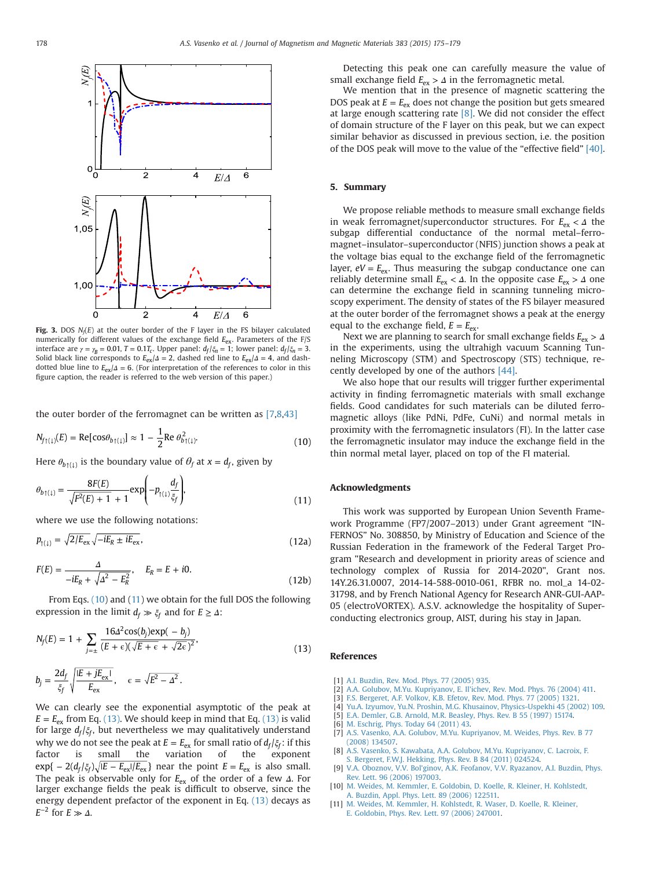<span id="page-3-0"></span>

Fig. 3. DOS  $N_f(E)$  at the outer border of the F layer in the FS bilayer calculated numerically for different values of the exchange field  $E_{ex}$ . Parameters of the F/S interface are  $\gamma = \gamma_B = 0.01$ ,  $T = 0.1T_c$ . Upper panel:  $d_f/\xi_n = 1$ ; lower panel:  $d_f/\xi_n = 3$ . Solid black line corresponds to  $E_{ex}/\Delta = 2$ , dashed red line to  $E_{ex}/\Delta = 4$ , and dashdotted blue line to  $E_{ex}/\Delta = 6$ . (For interpretation of the references to color in this figure caption, the reader is referred to the web version of this paper.)

the outer border of the ferromagnet can be written as [7,8[,43\]](#page-4-0)

$$
N_{f(1)}(E) = \text{Re}[\cos\theta_{b(1)}] \approx 1 - \frac{1}{2} \text{Re } \theta_{b(1)}^2.
$$
 (10)

Here  $\theta_{b\uparrow(1)}$  is the boundary value of  $\theta_f$  at  $x = d_f$ , given by

$$
\theta_{b\uparrow(1)} = \frac{8F(E)}{\sqrt{F^2(E) + 1} + 1} \exp\left(-p_{\uparrow(1)} \frac{d_f}{\xi_f}\right),\tag{11}
$$

where we use the following notations:

$$
p_{\uparrow(\downarrow)} = \sqrt{2/E_{\text{ex}}} \sqrt{-iE_R \pm iE_{\text{ex}}},\tag{12a}
$$

$$
F(E) = \frac{\Delta}{-iE_R + \sqrt{\Delta^2 - E_R^2}}, \quad E_R = E + i0.
$$
\n(12b)

From Eqs. (10) and (11) we obtain for the full DOS the following expression in the limit  $d_f \gg \xi_f$  and for  $E \geq \Delta$ :

$$
N_f(E) = 1 + \sum_{j=\pm} \frac{16\Delta^2 \cos(b_j) \exp(-b_j)}{(E + \epsilon)(\sqrt{E + \epsilon} + \sqrt{2\epsilon})^2},
$$
  
\n
$$
b_j = \frac{2d_f}{\xi_f} \sqrt{\frac{|E + jE_{\text{ex}}|}{E_{\text{ex}}}}, \quad \epsilon = \sqrt{E^2 - \Delta^2}.
$$
\n(13)

We can clearly see the exponential asymptotic of the peak at  $E = E_{\text{ex}}$  from Eq. (13). We should keep in mind that Eq. (13) is valid for large  $d_f/\xi_f$ , but nevertheless we may qualitatively understand why we do not see the peak at  $E = E_{\text{ex}}$  for small ratio of  $d_f/\xi_f$ : if this factor is small the variation of the exponent the variation of the exponent  $\exp\{-2(d_f/\xi_f)\sqrt{|E-E_{ex}|/E_{ex}}\}$  near the point  $E=E_{ex}$  is also small. The peak is observable only for  $E_{ex}$  of the order of a few *Δ*. For larger exchange fields the peak is difficult to observe, since the energy dependent prefactor of the exponent in Eq. (13) decays as  $E^{-2}$  for  $E \gg \Delta$ .

Detecting this peak one can carefully measure the value of small exchange field  $E_{ex} > \Delta$  in the ferromagnetic metal.

We mention that in the presence of magnetic scattering the DOS peak at  $E = E_{\text{ex}}$  does not change the position but gets smeared at large enough scattering rate  $[8]$ . We did not consider the effect of domain structure of the F layer on this peak, but we can expect similar behavior as discussed in previous section, i.e. the position of the DOS peak will move to the value of the "effective field" [\[40\].](#page-4-0)

#### 5. Summary

We propose reliable methods to measure small exchange fields in weak ferromagnet/superconductor structures. For  $E_{ex}$  < Δ the subgap differential conductance of the normal metal–ferromagnet–insulator–superconductor (NFIS) junction shows a peak at the voltage bias equal to the exchange field of the ferromagnetic layer,  $eV = E_{ex}$ . Thus measuring the subgap conductance one can reliably determine small  $E_{\text{ex}} < \Delta$ . In the opposite case  $E_{\text{ex}} > \Delta$  one can determine the exchange field in scanning tunneling microscopy experiment. The density of states of the FS bilayer measured at the outer border of the ferromagnet shows a peak at the energy equal to the exchange field,  $E = E_{\text{ex}}$ .

Next we are planning to search for small exchange fields  $E_{ex}$  > Δ in the experiments, using the ultrahigh vacuum Scanning Tunneling Microscopy (STM) and Spectroscopy (STS) technique, recently developed by one of the authors [\[44\].](#page-4-0)

We also hope that our results will trigger further experimental activity in finding ferromagnetic materials with small exchange fields. Good candidates for such materials can be diluted ferromagnetic alloys (like PdNi, PdFe, CuNi) and normal metals in proximity with the ferromagnetic insulators (FI). In the latter case the ferromagnetic insulator may induce the exchange field in the thin normal metal layer, placed on top of the FI material.

## Acknowledgments

This work was supported by European Union Seventh Framework Programme (FP7/2007–2013) under Grant agreement "IN-FERNOS" No. 308850, by Ministry of Education and Science of the Russian Federation in the framework of the Federal Target Program "Research and development in priority areas of science and technology complex of Russia for 2014-2020", Grant nos. 14Y.26.31.0007, 2014-14-588-0010-061, RFBR no. mol\_a 14-02- 31798, and by French National Agency for Research ANR-GUI-AAP-05 (electroVORTEX). A.S.V. acknowledge the hospitality of Superconducting electronics group, AIST, during his stay in Japan.

#### References

- [1] [A.I. Buzdin, Rev. Mod. Phys. 77 \(2005\) 935.](http://refhub.elsevier.com/S0304-8853(14)01116-0/sbref1)
- [2] [A.A. Golubov, M.Yu. Kupriyanov, E. Il'ichev, Rev. Mod. Phys. 76 \(2004\) 411.](http://refhub.elsevier.com/S0304-8853(14)01116-0/sbref2)
- [3] [F.S. Bergeret, A.F. Volkov, K.B. Efetov, Rev. Mod. Phys. 77 \(2005\) 1321.](http://refhub.elsevier.com/S0304-8853(14)01116-0/sbref3)
- [Yu.A. Izyumov, Yu.N. Proshin, M.G. Khusainov, Physics-Uspekhi 45 \(2002\) 109.](http://refhub.elsevier.com/S0304-8853(14)01116-0/sbref4)
- [5] [E.A. Demler, G.B. Arnold, M.R. Beasley, Phys. Rev. B 55 \(1997\) 15174.](http://refhub.elsevier.com/S0304-8853(14)01116-0/sbref5)
- [6] [M. Eschrig, Phys. Today 64 \(2011\) 43.](http://refhub.elsevier.com/S0304-8853(14)01116-0/sbref6)<br>[7] A.S. Vasenko, A.A. Golubov, M.Yu. Kui
- [A.S. Vasenko, A.A. Golubov, M.Yu. Kupriyanov, M. Weides, Phys. Rev. B 77](http://refhub.elsevier.com/S0304-8853(14)01116-0/sbref7) [\(2008\) 134507.](http://refhub.elsevier.com/S0304-8853(14)01116-0/sbref7)
- [8] [A.S. Vasenko, S. Kawabata, A.A. Golubov, M.Yu. Kupriyanov, C. Lacroix, F.](http://refhub.elsevier.com/S0304-8853(14)01116-0/sbref8) [S. Bergeret, F.W.J. Hekking, Phys. Rev. B 84 \(2011\) 024524.](http://refhub.elsevier.com/S0304-8853(14)01116-0/sbref8)
- [9] [V.A. Oboznov, V.V. Bol'ginov, A.K. Feofanov, V.V. Ryazanov, A.I. Buzdin, Phys.](http://refhub.elsevier.com/S0304-8853(14)01116-0/sbref9) [Rev. Lett. 96 \(2006\) 197003.](http://refhub.elsevier.com/S0304-8853(14)01116-0/sbref9)
- [10] [M. Weides, M. Kemmler, E. Goldobin, D. Koelle, R. Kleiner, H. Kohlstedt,](http://refhub.elsevier.com/S0304-8853(14)01116-0/sbref10) [A. Buzdin, Appl. Phys. Lett. 89 \(2006\) 122511.](http://refhub.elsevier.com/S0304-8853(14)01116-0/sbref10)
- [11] [M. Weides, M. Kemmler, H. Kohlstedt, R. Waser, D. Koelle, R. Kleiner,](http://refhub.elsevier.com/S0304-8853(14)01116-0/sbref11) [E. Goldobin, Phys. Rev. Lett. 97 \(2006\) 247001.](http://refhub.elsevier.com/S0304-8853(14)01116-0/sbref11)